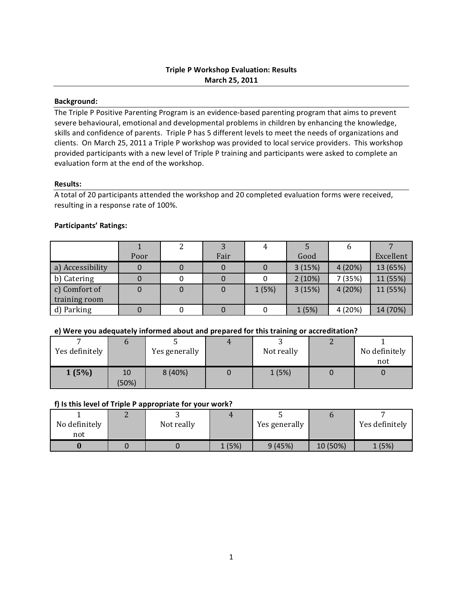## **Background:**

The Triple P Positive Parenting Program is an evidence-based parenting program that aims to prevent severe behavioural, emotional and developmental problems in children by enhancing the knowledge, skills and confidence of parents. Triple P has 5 different levels to meet the needs of organizations and clients. On March 25, 2011 a Triple P workshop was provided to local service providers. This workshop provided participants with a new level of Triple P training and participants were asked to complete an evaluation form at the end of the workshop.

## **Results:**

A total of 20 participants attended the workshop and 20 completed evaluation forms were received, resulting in a response rate of 100%.

# Participants' Ratings:

|                  |      |      |       |        | O       |           |
|------------------|------|------|-------|--------|---------|-----------|
|                  | Poor | Fair |       | Good   |         | Excellent |
| a) Accessibility |      |      |       | 3(15%) | 4(20%)  | 13 (65%)  |
| b) Catering      |      |      |       | 2(10%) | 7 (35%) | 11 (55%)  |
| c) Comfort of    |      |      | 1(5%) | 3(15%) | 4(20%)  | 11 (55%)  |
| training room    |      |      |       |        |         |           |
| d) Parking       |      |      |       | 1(5%)  | 4 (20%) | 14 (70%)  |

## **e)'Were'you'adequately'informed'about'and'prepared'for'this'training'or'accreditation?**

| Yes definitely |             | Yes generally | Not really | No definitely<br>not |
|----------------|-------------|---------------|------------|----------------------|
| 1(5%)          | 10<br>(50%) | 8 (40%)       | 1(5%)      |                      |

## f) Is this level of Triple P appropriate for your work?

| No definitely<br>not | Not really |        | Yes generally |          | Yes definitely |
|----------------------|------------|--------|---------------|----------|----------------|
|                      |            | 1 (5%) | 9(45%)        | 10 (50%) | 1 (5%)         |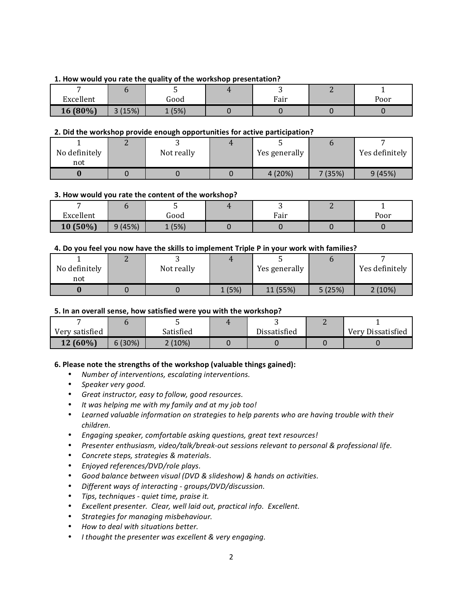## 1. How would you rate the quality of the workshop presentation?

|           |            | ັ      |      |      |
|-----------|------------|--------|------|------|
| Excellent |            | Good   | Fair | Poor |
| 16 (80%)  | (15%)<br>ັ | 1 (5%) |      |      |

## **2. Did the workshop provide enough opportunities for active participation?**

| No definitely<br>not | Not really | Yes generally |        | Yes definitely |
|----------------------|------------|---------------|--------|----------------|
|                      |            | 4 (20%)       | 7(35%) | 9(45%)         |

#### **3. How would you rate the content of the workshop?**

|           |        |      |      | ⊷ |      |
|-----------|--------|------|------|---|------|
| Excellent |        | Good | Fair |   | Poor |
| 10 (50%)  | 9(45%) | (5%) |      |   |      |

#### **4.'Do'you'feel'you'now'have'the'skills'to'implement'Triple'P'in'your'work'with'families?**

| No definitely<br>not | Not really |      | Yes generally |        | Yes definitely |
|----------------------|------------|------|---------------|--------|----------------|
|                      |            | (5%) | 11 (55%)      | 5(25%) | 2(10%)         |

## **5. In an overall sense, how satisfied were you with the workshop?**

| Very satisfied |        | Satisfied | Dissatisfied | Very Dissatisfied |
|----------------|--------|-----------|--------------|-------------------|
| 12 (60%)       | 6(30%) | 2(10%)    |              |                   |

## **6. Please note the strengths of the workshop (valuable things gained):**

- Number of interventions, escalating interventions.
- Speaker very good.
- *Great'instructor,'easy'to'follow,'good'resources.*
- It was helping me with my family and at my job too!
- Learned valuable information on strategies to help parents who are having trouble with their *children.*
- Engaging speaker, comfortable asking questions, great text resources!
- Presenter enthusiasm, video/talk/break-out sessions relevant to personal & professional life.
- *Concrete'steps,'strategies'&'materials.*
- *Enjoyed'references/DVD/role'plays.*
- *Good'balance'between'visual'(DVD'&'slideshow)'&'hands'on'activities.*
- Different ways of interacting groups/DVD/discussion.
- Tips, techniques quiet time, praise it.
- Excellent presenter. Clear, well laid out, practical info. Excellent.
- Strategies for managing misbehaviour.
- *How'to'deal'with'situations'better.*
- *I* thought the presenter was excellent & very engaging.